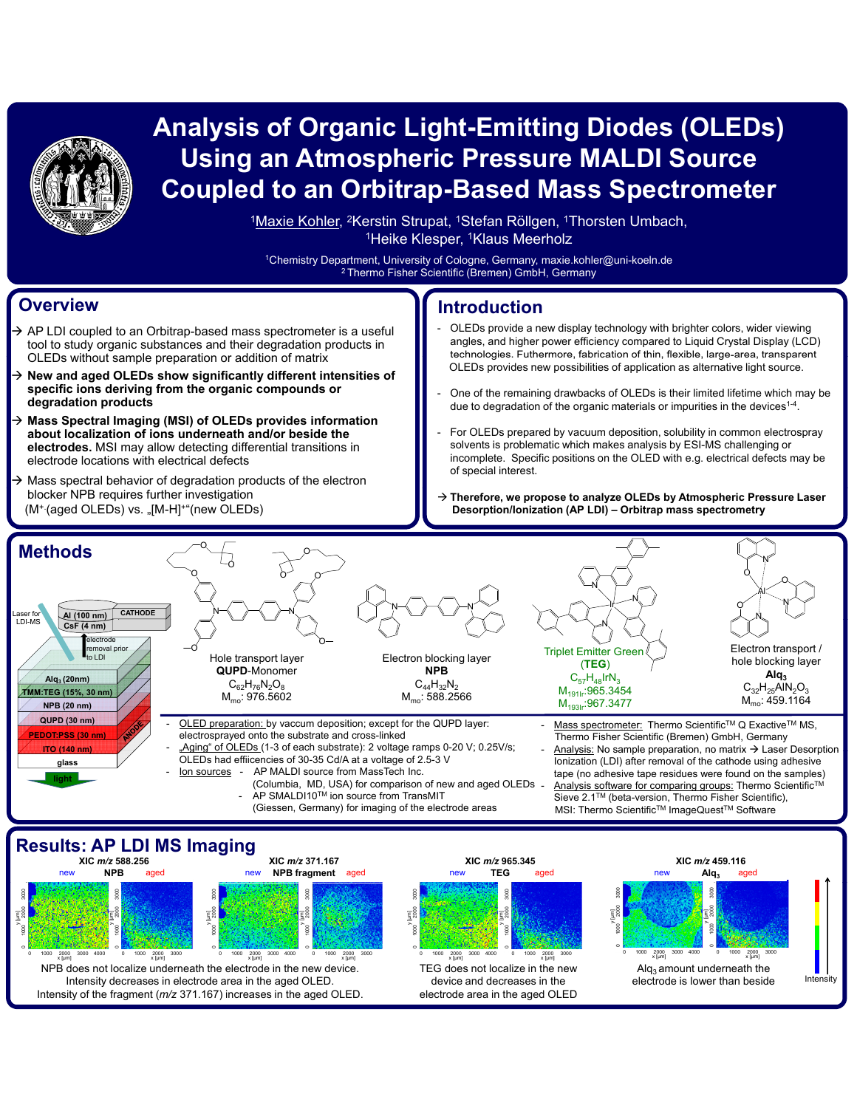

# **Analysis of Organic Light-Emitting Diodes (OLEDs) Using an Atmospheric Pressure MALDI Source Coupled to an Orbitrap-Based Mass Spectrometer**

<sup>1</sup>Maxie Kohler, <sup>2</sup>Kerstin Strupat, <sup>1</sup>Stefan Röllgen, <sup>1</sup>Thorsten Umbach, <sup>1</sup>Heike Klesper, <sup>1</sup>Klaus Meerholz

1Chemistry Department, University of Cologne, Germany, maxie.kohler@uni-koeln.de 2 Thermo Fisher Scientific (Bremen) GmbH, Germany

#### **Overview**

- $\rightarrow$  AP LDI coupled to an Orbitrap-based mass spectrometer is a useful tool to study organic substances and their degradation products in OLEDs without sample preparation or addition of matrix
- Æ **New and aged OLEDs show significantly different intensities of specific ions deriving from the organic compounds or degradation products**
- Æ **Mass Spectral Imaging (MSI) of OLEDs provides information about localization of ions underneath and/or beside the electrodes.** MSI may allow detecting differential transitions in electrode locations with electrical defects
- Mass spectral behavior of degradation products of the electron blocker NPB requires further investigation (M<sup>+</sup> (aged OLEDs) vs. "[M-H]<sup>+"</sup>(new OLEDs)

### **Introduction**

- OLEDs provide a new display technology with brighter colors, wider viewing angles, and higher power efficiency compared to Liquid Crystal Display (LCD) OLEDs without sample preparation or addition of matrix **the example of the example in the sample** technologies. Futhermore, fabrication of thin, flexible, large-area, transparent OLEDs provides new possibilities of application as alternative light source.
	- One of the remaining drawbacks of OLEDs is their limited lifetime which may be due to degradation of the organic materials or impurities in the devices<sup>1-4</sup>.
	- For OLEDs prepared by vacuum deposition, solubility in common electrospray solvents is problematic which makes analysis by ESI-MS challenging or incomplete. Specific positions on the OLED with e.g. electrical defects may be of special interest.
	- → Therefore, we propose to analyze OLEDs by Atmospheric Pressure Laser **Desorption/Ionization (AP LDI) – Orbitrap mass spectrometry**



#### **Results: AP LDI MS Imaging**